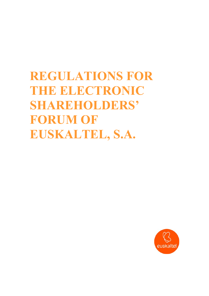**REGULATIONS FOR THE ELECTRONIC SHAREHOLDERS' FORUM OF EUSKALTEL, S.A.** 

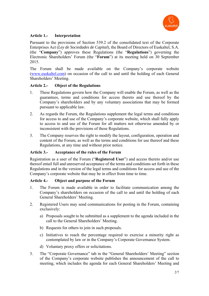

# **Article 1.- Interpretation**

Pursuant to the provisions of Section 539.2 of the consolidated text of the Corporate Enterprises Act (*Ley de Sociedades de Capital*), the Board of Directors of Euskaltel, S.A. (the "**Company**") approves these Regulations (the "**Regulations**") governing the Electronic Shareholders' Forum (the "**Forum**") at its meeting held on 30 September 2015.

The Forum shall be made available on the Company's corporate website (www.euskaltel.com) on occasion of the call to and until the holding of each General Shareholders' Meeting.

# **Article 2.- Object of the Regulations**

- 1. These Regulations govern how the Company will enable the Forum, as well as the guarantees, terms and conditions for access thereto and use thereof by the Company's shareholders and by any voluntary associations that may be formed pursuant to applicable law.
- 2. As regards the Forum, the Regulations supplement the legal terms and conditions for access to and use of the Company's corporate website, which shall fully apply to access to and use of the Forum for all matters not otherwise amended by or inconsistent with the provisions of these Regulations.
- 3. The Company reserves the right to modify the layout, configuration, operation and content of the Forum, as well as the terms and conditions for use thereof and these Regulations, at any time and without prior notice.

# **Article 3.- Acceptance of the rules of the Forum**

Registration as a user of the Forum ("**Registered User**") and access thereto and/or use thereof entail full and unreserved acceptance of the terms and conditions set forth in these Regulations and in the version of the legal terms and conditions for access and use of the Company's corporate website that may be in effect from time to time.

# **Article 4.- Object and purpose of the Forum**

- 1. The Forum is made available in order to facilitate communication among the Company's shareholders on occasion of the call to and until the holding of each General Shareholders' Meeting.
- 2. Registered Users may send communications for posting in the Forum, containing exclusively:
	- a) Proposals sought to be submitted as a supplement to the agenda included in the call to the General Shareholders' Meeting.
	- b) Requests for others to join in such proposals.
	- c) Initiatives to reach the percentage required to exercise a minority right as contemplated by law or in the Company's Corporate Governance System.
	- d) Voluntary proxy offers or solicitations.
- 3. The "Corporate Governance" tab in the "General Shareholders' Meeting" section of the Company's corporate website publishes the announcement of the call to meeting, which includes the agenda for each General Shareholders' Meeting and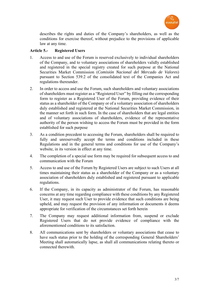

describes the rights and duties of the Company's shareholders, as well as the conditions for exercise thereof, without prejudice to the provisions of applicable law at any time.

# **Article 5.- Registered Users**

- 1. Access to and use of the Forum is reserved exclusively to individual shareholders of the Company, and to voluntary associations of shareholders validly established and registered in the special registry created for such purpose at the National Securities Market Commission (*Comisión Nacional del Mercado de Valores*) pursuant to Section 539.2 of the consolidated text of the Companies Act and regulations thereunder.
- 2. In order to access and use the Forum, such shareholders and voluntary associations of shareholders must register as a "Registered User" by filling out the corresponding form to register as a Registered User of the Forum, providing evidence of their status as a shareholder of the Company or of a voluntary association of shareholders duly established and registered at the National Securities Market Commission, in the manner set forth in such form. In the case of shareholders that are legal entities and of voluntary associations of shareholders, evidence of the representative authority of the person wishing to access the Forum must be provided in the form established for such purpose
- 3. As a condition precedent to accessing the Forum, shareholders shall be required to fully and unreservedly accept the terms and conditions included in these Regulations and in the general terms and conditions for use of the Company's website, in its version in effect at any time.
- 4. The completion of a special use form may be required for subsequent access to and communication with the Forum
- 5. Access to and use of the Forum by Registered Users are subject to such Users at all times maintaining their status as a shareholder of the Company or as a voluntary association of shareholders duly established and registered pursuant to applicable regulations.
- 6. If the Company, in its capacity as administrator of the Forum, has reasonable concerns at any time regarding compliance with these conditions by any Registered User, it may request such User to provide evidence that such conditions are being upheld, and may request the provision of any information or documents it deems appropriate for verification of the circumstances set forth herein
- 7. The Company may request additional information from, suspend or exclude Registered Users that do not provide evidence of compliance with the aforementioned conditions to its satisfaction.
- 8. All communications sent by shareholders or voluntary associations that cease to have such status prior to the holding of the corresponding General Shareholders' Meeting shall automatically lapse, as shall all communications relating thereto or connected therewith.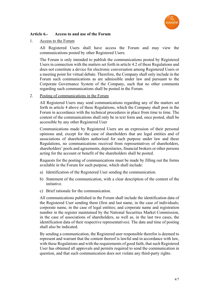

### **Article 6.- Access to and use of the Forum**

#### 1. Access to the Forum

All Registered Users shall have access the Forum and may view the communications posted by other Registered Users.

The Forum is only intended to publish the communications posted by Registered Users in connection with the matters set forth in article 4.2 of these Regulations and does not constitute a device for electronic conversation among Registered Users or a meeting point for virtual debate. Therefore, the Company shall only include in the Forum such communications as are admissible under law and pursuant to the Corporate Governance System of the Company, such that no other comments regarding such communications shall be posted in the Forum.

#### 2. Posting of communications in the Forum

All Registered Users may send communications regarding any of the matters set forth in article 4 above of these Regulations, which the Company shall post in the Forum in accordance with the technical procedures in place from time to time. The content of the communications shall only be in text form and, once posted, shall be accessible by any other Registered User

Communications made by Registered Users are an expression of their personal opinions and, except for the case of shareholders that are legal entities and of associations of shareholders authorised for such purpose under law and these Regulations, no communications received from representatives of shareholders, shareholders' pools and agreements, depositaries, financial brokers or other persons acting for the account or benefit of the shareholders shall be posted.

Requests for the posting of communications must be made by filling out the forms available in the Forum for such purpose, which shall include:

- a) Identification of the Registered User sending the communication.
- b) Statement of the communication, with a clear description of the content of the initiative.
- c) Brief rationale for the communication.

All communications published in the Forum shall include the identification data of the Registered User sending them (first and last name, in the case of individuals; corporate name, in the case of legal entities; and corporate name and registration number in the register maintained by the National Securities Market Commission, in the case of associations of shareholders, as well as, in the last two cases, the identification data of their respective representatives). The date and time of posting shall also be indicated.

By sending a communication, the Registered user responsible therefor is deemed to represent and warrant that the content thereof is lawful and in accordance with law, with these Regulations and with the requirements of good faith, that such Registered User has obtained all approvals and permits required to send the communication in question, and that such communication does not violate any third-party rights.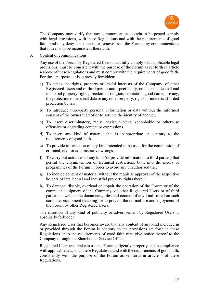

The Company may verify that any communications sought to be posted comply with legal provisions, with these Regulations and with the requirements of good faith, and may deny inclusion in or remove from the Forum any communications that it deems to be inconsistent therewith.

### 3. Content of communications

Any use of the Forum by Registered Users must fully comply with applicable legal provisions, must be consistent with the purpose of the Forum as set forth in article 4 above of these Regulations and must comply with the requirements of good faith. For these purposes, it is expressly forbidden:

- a) To attack the rights, property or lawful interests of the Company, of other Registered Users and of third parties and, specifically, on their intellectual and industrial property rights, freedom of religion, reputation, good name, privacy, the protection of personal data or any other property, rights or interests afforded protection by law.
- b) To introduce third-party personal information or data without the informed consent of the owner thereof or to assume the identity of another.
- c) To insert discriminatory, racist, sexist, violent, xenophobic or otherwise offensive or degrading content or expressions.
- d) To insert any kind of material that is inappropriate or contrary to the requirements of good faith.
- e) To provide information of any kind intended to be used for the commission of criminal, civil or administrative wrongs.
- f) To carry out activities of any kind (or provide information to third parties) that permit the circumvention of technical restrictions built into the media or programmes of the Forum in order to avoid any unauthorised use.
- g) To include content or material without the requisite approval of the respective holders of intellectual and industrial property rights therein.
- h) To damage, disable, overload or impair the operation of the Forum or of the computer equipment of the Company, of other Registered Users or of third parties, as well as the documents, files and content of any kind stored on such computer equipment (hacking) or to prevent the normal use and enjoyment of the Forum by other Registered Users.

The insertion of any kind of publicity or advertisement by Registered Users is absolutely forbidden.

Any Registered User that becomes aware that any content of any kind included in or provided through the Forum is contrary to the provisions set forth in these Regulations or to the requirements of good faith may give notice thereof to the Company through the Shareholder Service Office.

Registered Users undertake to use the Forum diligently, properly and in compliance with applicable law, with these Regulations and with the requirements of good faith, consistently with the purpose of the Forum as set forth in article 4 of these Regulations.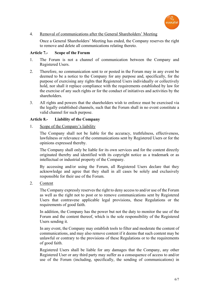

# 4. Removal of communications after the General Shareholders' Meeting

Once a General Shareholders' Meeting has ended, the Company reserves the right to remove and delete all communications relating thereto.

### **Article 7.- Scope of the Forum**

- 1. The Forum is not a channel of communication between the Company and Registered Users.
- 2. Therefore, no communication sent to or posted in the Forum may in any event be deemed to be a notice to the Company for any purpose and, specifically, for the purpose of exercising any rights that Registered Users individually or collectively hold, nor shall it replace compliance with the requirements established by law for the exercise of any such rights or for the conduct of initiatives and activities by the shareholders.
- 3. All rights and powers that the shareholders wish to enforce must be exercised via the legally established channels, such that the Forum shall in no event constitute a valid channel for such purpose.

### **Article 8.- Liability of the Company**

1. Scope of the Company's liability

The Company shall not be liable for the accuracy, truthfulness, effectiveness, lawfulness or relevance of the communications sent by Registered Users or for the opinions expressed thereby.

The Company shall only be liable for its own services and for the content directly originated thereby and identified with its copyright notice as a trademark or as intellectual or industrial property of the Company.

By accessing and/or using the Forum, all Registered Users declare that they acknowledge and agree that they shall in all cases be solely and exclusively responsible for their use of the Forum.

2. Content

The Company expressly reserves the right to deny access to and/or use of the Forum as well as the right not to post or to remove communications sent by Registered Users that contravene applicable legal provisions, these Regulations or the requirements of good faith.

In addition, the Company has the power but not the duty to monitor the use of the Forum and the content thereof, which is the sole responsibility of the Registered Users sending it.

In any event, the Company may establish tools to filter and moderate the content of communications, and may also remove content if it deems that such content may be unlawful or contrary to the provisions of these Regulations or to the requirements of good faith.

Registered Users shall be liable for any damages that the Company, any other Registered User or any third party may suffer as a consequence of access to and/or use of the Forum (including, specifically, the sending of communications) in